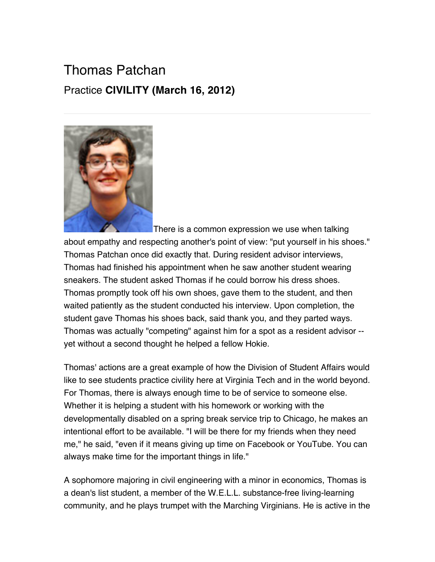## Thomas Patchan Practice **CIVILITY (March 16, 2012)**



There is a common expression we use when talking about empathy and respecting another's point of view: "put yourself in his shoes." Thomas Patchan once did exactly that. During resident advisor interviews, Thomas had finished his appointment when he saw another student wearing sneakers. The student asked Thomas if he could borrow his dress shoes. Thomas promptly took off his own shoes, gave them to the student, and then waited patiently as the student conducted his interview. Upon completion, the student gave Thomas his shoes back, said thank you, and they parted ways. Thomas was actually "competing" against him for a spot as a resident advisor - yet without a second thought he helped a fellow Hokie.

Thomas' actions are a great example of how the Division of Student Affairs would like to see students practice civility here at Virginia Tech and in the world beyond. For Thomas, there is always enough time to be of service to someone else. Whether it is helping a student with his homework or working with the developmentally disabled on a spring break service trip to Chicago, he makes an intentional effort to be available. "I will be there for my friends when they need me," he said, "even if it means giving up time on Facebook or YouTube. You can always make time for the important things in life."

A sophomore majoring in civil engineering with a minor in economics, Thomas is a dean's list student, a member of the W.E.L.L. substance-free living-learning community, and he plays trumpet with the Marching Virginians. He is active in the